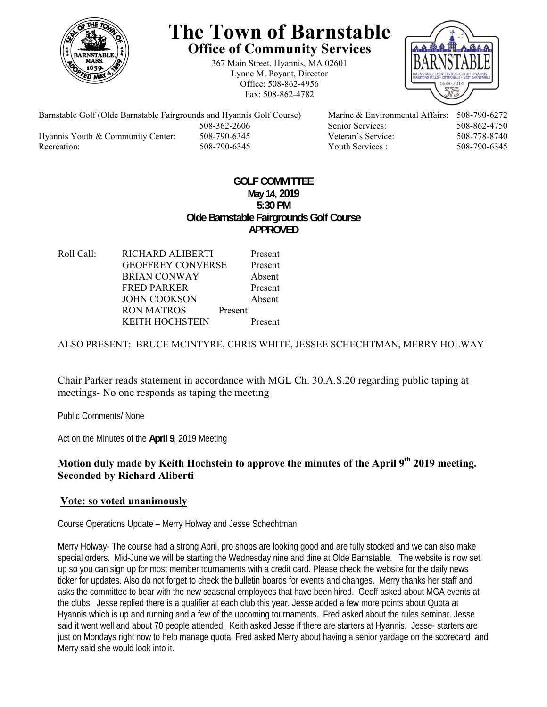

# **The Town of Barnstable Office of Community Services**

367 Main Street, Hyannis, MA 02601 Lynne M. Poyant, Director Office: 508-862-4956 Fax: 508-862-4782



Barnstable Golf (Olde Barnstable Fairgrounds and Hyannis Golf Course) Marine & Environmental Affairs: 508-790-6272 508-362-2606 Senior Services: 508-862-4750 Hyannis Youth & Community Center: 508-790-6345 Veteran's Service: 508-778-8740 Recreation: 508-790-6345 Youth Services : 508-790-6345 S08-790-6345

## **GOLF COMMITTEE May 14, 2019 5:30 PM Olde Barnstable Fairgrounds Golf Course APPROVED**

Roll Call: RICHARD ALIBERTI Present GEOFFREY CONVERSE Present BRIAN CONWAY Absent FRED PARKER Present JOHN COOKSON Absent RON MATROS Present KEITH HOCHSTEIN Present

## ALSO PRESENT: BRUCE MCINTYRE, CHRIS WHITE, JESSEE SCHECHTMAN, MERRY HOLWAY

Chair Parker reads statement in accordance with MGL Ch. 30.A.S.20 regarding public taping at meetings- No one responds as taping the meeting

Public Comments/ None

Act on the Minutes of the **April 9**, 2019 Meeting

## **Motion duly made by Keith Hochstein to approve the minutes of the April 9th 2019 meeting. Seconded by Richard Aliberti**

#### **Vote: so voted unanimously**

Course Operations Update – Merry Holway and Jesse Schechtman

Merry Holway- The course had a strong April, pro shops are looking good and are fully stocked and we can also make special orders. Mid-June we will be starting the Wednesday nine and dine at Olde Barnstable. The website is now set up so you can sign up for most member tournaments with a credit card. Please check the website for the daily news ticker for updates. Also do not forget to check the bulletin boards for events and changes. Merry thanks her staff and asks the committee to bear with the new seasonal employees that have been hired. Geoff asked about MGA events at the clubs. Jesse replied there is a qualifier at each club this year. Jesse added a few more points about Quota at Hyannis which is up and running and a few of the upcoming tournaments. Fred asked about the rules seminar. Jesse said it went well and about 70 people attended. Keith asked Jesse if there are starters at Hyannis. Jesse- starters are just on Mondays right now to help manage quota. Fred asked Merry about having a senior yardage on the scorecard and Merry said she would look into it.